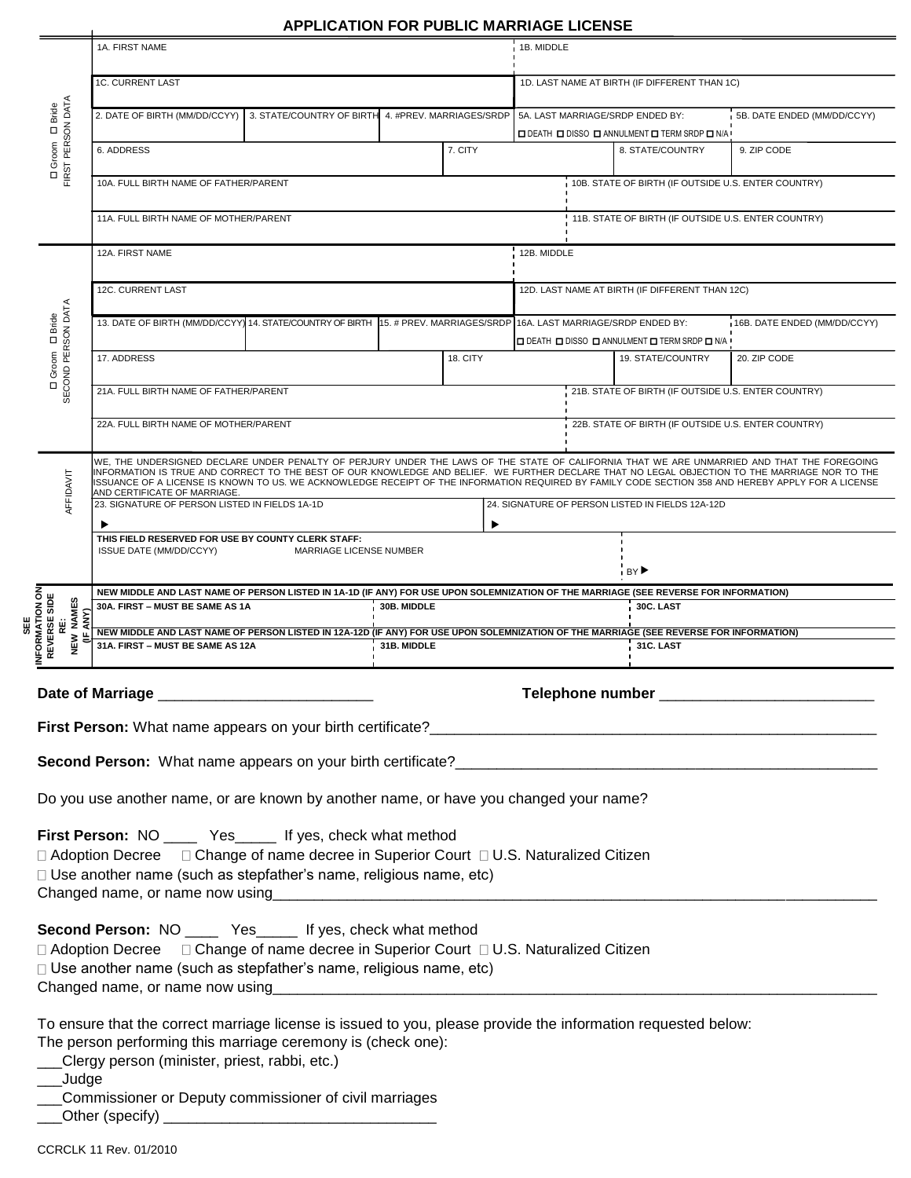## **APPLICATION FOR PUBLIC MARRIAGE LICENSE**

|                                                        |                                                                                                                                                                                                                                                                                               |          | <b>APPLICATION FOR PUBLIC MARRIAGE LICENSE</b> |                            |                                                                                             |                                                     |                                                                          |                              |  |
|--------------------------------------------------------|-----------------------------------------------------------------------------------------------------------------------------------------------------------------------------------------------------------------------------------------------------------------------------------------------|----------|------------------------------------------------|----------------------------|---------------------------------------------------------------------------------------------|-----------------------------------------------------|--------------------------------------------------------------------------|------------------------------|--|
|                                                        | 1A. FIRST NAME                                                                                                                                                                                                                                                                                |          |                                                |                            | 1B. MIDDLE                                                                                  |                                                     |                                                                          |                              |  |
| D Groom D Bride<br>FIRST PERSON DATA                   | <b>1C. CURRENT LAST</b>                                                                                                                                                                                                                                                                       |          |                                                |                            | 1D. LAST NAME AT BIRTH (IF DIFFERENT THAN 1C)                                               |                                                     |                                                                          |                              |  |
|                                                        | 2. DATE OF BIRTH (MM/DD/CCYY)<br>3. STATE/COUNTRY OF BIRTH<br>4. #PREV. MARRIAGES/SRDP                                                                                                                                                                                                        |          |                                                |                            | 5B. DATE ENDED (MM/DD/CCYY)<br>5A. LAST MARRIAGE/SRDP ENDED BY:                             |                                                     |                                                                          |                              |  |
|                                                        | 6. ADDRESS                                                                                                                                                                                                                                                                                    |          |                                                | 7. CITY                    |                                                                                             |                                                     | <b>O DEATH O DISSO O ANNULMENT O TERM SRDP O N/A</b><br>8. STATE/COUNTRY | 9. ZIP CODE                  |  |
|                                                        | 10A. FULL BIRTH NAME OF FATHER/PARENT                                                                                                                                                                                                                                                         |          |                                                |                            |                                                                                             |                                                     | 10B. STATE OF BIRTH (IF OUTSIDE U.S. ENTER COUNTRY)                      |                              |  |
|                                                        | 11A. FULL BIRTH NAME OF MOTHER/PARENT                                                                                                                                                                                                                                                         |          |                                                |                            | 11B. STATE OF BIRTH (IF OUTSIDE U.S. ENTER COUNTRY)                                         |                                                     |                                                                          |                              |  |
|                                                        | 12A. FIRST NAME<br>12B. MIDDLE                                                                                                                                                                                                                                                                |          |                                                |                            |                                                                                             |                                                     |                                                                          |                              |  |
|                                                        | 12C. CURRENT LAST                                                                                                                                                                                                                                                                             |          |                                                |                            | 12D. LAST NAME AT BIRTH (IF DIFFERENT THAN 12C)                                             |                                                     |                                                                          |                              |  |
| SECOND PERSON DATA<br><b>Bride</b><br>$\Box$<br>Groom  | 13. DATE OF BIRTH (MM/DD/CCYY) 14. STATE/COUNTRY OF BIRTH                                                                                                                                                                                                                                     |          |                                                | 15. # PREV. MARRIAGES/SRDP | 16A. LAST MARRIAGE/SRDP ENDED BY:<br><b>O DEATH O DISSO O ANNULMENT O TERM SRDP O N/A '</b> |                                                     |                                                                          | 16B. DATE ENDED (MM/DD/CCYY) |  |
|                                                        | 17. ADDRESS                                                                                                                                                                                                                                                                                   | 18. CITY |                                                |                            |                                                                                             |                                                     | 19. STATE/COUNTRY                                                        | 20. ZIP CODE                 |  |
| □                                                      | 21B. STATE OF BIRTH (IF OUTSIDE U.S. ENTER COUNTRY)<br>21A. FULL BIRTH NAME OF FATHER/PARENT                                                                                                                                                                                                  |          |                                                |                            |                                                                                             |                                                     |                                                                          |                              |  |
|                                                        | 22A. FULL BIRTH NAME OF MOTHER/PARENT                                                                                                                                                                                                                                                         |          |                                                |                            |                                                                                             | 22B. STATE OF BIRTH (IF OUTSIDE U.S. ENTER COUNTRY) |                                                                          |                              |  |
|                                                        | WE, THE UNDERSIGNED DECLARE UNDER PENALTY OF PERJURY UNDER THE LAWS OF THE STATE OF CALIFORNIA THAT WE ARE UNMARRIED AND THAT THE FOREGOING<br>INFORMATION IS TRUE AND CORRECT TO THE BEST OF OUR KNOWLEDGE AND BELIEF. WE FURTHER DECLARE THAT NO LEGAL OBJECTION TO THE MARRIAGE NOR TO THE |          |                                                |                            |                                                                                             |                                                     |                                                                          |                              |  |
| AFFIDAVIT                                              | ISSUANCE OF A LICENSE IS KNOWN TO US. WE ACKNOWLEDGE RECEIPT OF THE INFORMATION REQUIRED BY FAMILY CODE SECTION 358 AND HEREBY APPLY FOR A LICENSE<br>AND CERTIFICATE OF MARRIAGE<br>23. SIGNATURE OF PERSON LISTED IN FIELDS 1A-1D<br>24. SIGNATURE OF PERSON LISTED IN FIELDS 12A-12D       |          |                                                |                            |                                                                                             |                                                     |                                                                          |                              |  |
|                                                        | ▶<br>▸<br>THIS FIELD RESERVED FOR USE BY COUNTY CLERK STAFF:                                                                                                                                                                                                                                  |          |                                                |                            |                                                                                             |                                                     |                                                                          |                              |  |
|                                                        | ISSUE DATE (MM/DD/CCYY)<br>MARRIAGE LICENSE NUMBER<br>BY▶                                                                                                                                                                                                                                     |          |                                                |                            |                                                                                             |                                                     |                                                                          |                              |  |
| <b>NFORMATION ON<br/>REVERSE SIDE</b><br>NAMES<br>ANY) | NEW MIDDLE AND LAST NAME OF PERSON LISTED IN 1A-1D (IF ANY) FOR USE UPON SOLEMNIZATION OF THE MARRIAGE (SEE REVERSE FOR INFORMATION)<br>30A. FIRST - MUST BE SAME AS 1A<br>30B. MIDDLE<br>30C. LAST                                                                                           |          |                                                |                            |                                                                                             |                                                     |                                                                          |                              |  |
| Ŵ<br>ᄒ<br>NEW                                          | NEW MIDDLE AND LAST NAME OF PERSON LISTED IN 12A-12D (IF ANY) FOR USE UPON SOLEMNIZATION OF THE MARRIAGE (SEE REVERSE FOR INFORMATION)<br>31B. MIDDLE<br>31C. LAST<br>31A. FIRST - MUST BE SAME AS 12A                                                                                        |          |                                                |                            |                                                                                             |                                                     |                                                                          |                              |  |
|                                                        |                                                                                                                                                                                                                                                                                               |          |                                                |                            |                                                                                             |                                                     |                                                                          |                              |  |
|                                                        |                                                                                                                                                                                                                                                                                               |          |                                                |                            |                                                                                             |                                                     |                                                                          |                              |  |
|                                                        |                                                                                                                                                                                                                                                                                               |          |                                                |                            |                                                                                             |                                                     |                                                                          |                              |  |
|                                                        | Second Person: What name appears on your birth certificate?<br>The manufacture of the contract of the contract of the contract of the contract of the contract of the contract of the contract of the contract of the contract o                                                              |          |                                                |                            |                                                                                             |                                                     |                                                                          |                              |  |
|                                                        | Do you use another name, or are known by another name, or have you changed your name?                                                                                                                                                                                                         |          |                                                |                            |                                                                                             |                                                     |                                                                          |                              |  |
|                                                        | First Person: NO _____ Yes _____ If yes, check what method                                                                                                                                                                                                                                    |          |                                                |                            |                                                                                             |                                                     |                                                                          |                              |  |
|                                                        | □ Adoption Decree □ Change of name decree in Superior Court □ U.S. Naturalized Citizen                                                                                                                                                                                                        |          |                                                |                            |                                                                                             |                                                     |                                                                          |                              |  |
|                                                        | □ Use another name (such as stepfather's name, religious name, etc)                                                                                                                                                                                                                           |          |                                                |                            |                                                                                             |                                                     |                                                                          |                              |  |
|                                                        | Second Person: NO ______ Yes______ If yes, check what method                                                                                                                                                                                                                                  |          |                                                |                            |                                                                                             |                                                     |                                                                          |                              |  |
|                                                        | □ Adoption Decree □ Change of name decree in Superior Court □ U.S. Naturalized Citizen                                                                                                                                                                                                        |          |                                                |                            |                                                                                             |                                                     |                                                                          |                              |  |
|                                                        | □ Use another name (such as stepfather's name, religious name, etc)                                                                                                                                                                                                                           |          |                                                |                            |                                                                                             |                                                     |                                                                          |                              |  |
|                                                        | To ensure that the correct marriage license is issued to you, please provide the information requested below:                                                                                                                                                                                 |          |                                                |                            |                                                                                             |                                                     |                                                                          |                              |  |
|                                                        | The person performing this marriage ceremony is (check one):                                                                                                                                                                                                                                  |          |                                                |                            |                                                                                             |                                                     |                                                                          |                              |  |
| _Judge                                                 | Clergy person (minister, priest, rabbi, etc.)                                                                                                                                                                                                                                                 |          |                                                |                            |                                                                                             |                                                     |                                                                          |                              |  |
|                                                        | Commissioner or Deputy commissioner of civil marriages                                                                                                                                                                                                                                        |          |                                                |                            |                                                                                             |                                                     |                                                                          |                              |  |